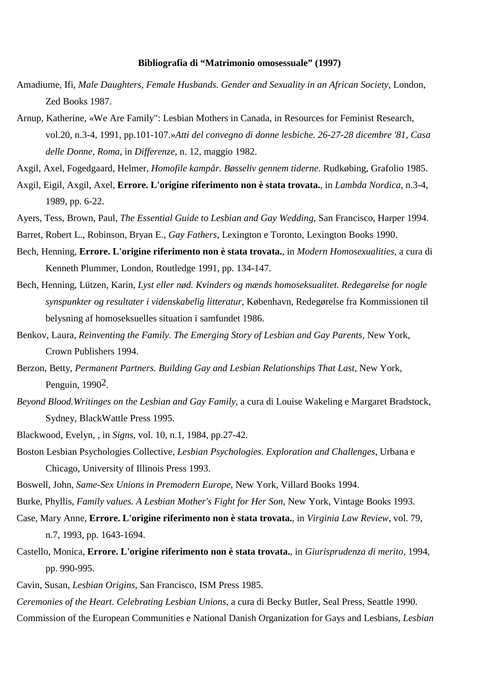## **Bibliografia di "Matrimonio omosessuale" (1997)**

- Amadiume, Ifi, *Male Daughters, Female Husbands. Gender and Sexuality in an African Society*, London, Zed Books 1987.
- Arnup, Katherine, «We Are Family": Lesbian Mothers in Canada, in Resources for Feminist Research, vol.20, n.3-4, 1991, pp.101-107.»*Atti del convegno di donne lesbiche. 26-27-28 dicembre '81, Casa delle Donne, Roma,* in *Differenze*, n. 12, maggio 1982.
- Axgil, Axel, Fogedgaard, Helmer, *Homofile kampår. Bøsseliv gennem tiderne*. Rudkøbing, Grafolio 1985.
- Axgil, Eigil, Axgil, Axel, **Errore. L'origine riferimento non è stata trovata.**, in *Lambda Nordica*, n.3-4, 1989, pp. 6-22.
- Ayers, Tess, Brown, Paul, *The Essential Guide to Lesbian and Gay Wedding,* San Francisco, Harper 1994.
- Barret, Robert L., Robinson, Bryan E., *Gay Fathers*, Lexington e Toronto, Lexington Books 1990.
- Bech, Henning, **Errore. L'origine riferimento non è stata trovata.**, in *Modern Homosexualities*, a cura di Kenneth Plummer, London, Routledge 1991, pp. 134-147.
- Bech, Henning, Lützen, Karin, *Lyst eller nød. Kvinders og mænds homoseksualitet. Redegørelse for nogle synspunkter og resultater i videnskabelig litteratur*, København, Redegørelse fra Kommissionen til belysning af homoseksuelles situation i samfundet 1986.
- Benkov, Laura, *Reinventing the Family. The Emerging Story of Lesbian and Gay Parents*, New York, Crown Publishers 1994.
- Berzon, Betty, *Permanent Partners. Building Gay and Lesbian Relationships That Last*, New York, Penguin, 19902.
- *Beyond Blood.Writinges on the Lesbian and Gay Family*, a cura di Louise Wakeling e Margaret Bradstock, Sydney, BlackWattle Press 1995.
- Blackwood, Evelyn, , in *Signs*, vol. 10, n.1, 1984, pp.27-42.
- Boston Lesbian Psychologies Collective, *Lesbian Psychologies. Exploration and Challenges*, Urbana e Chicago, University of Illinois Press 1993.
- Boswell, John, *Same-Sex Unions in Premodern Europe*, New York, Villard Books 1994.
- Burke, Phyllis, *Family values. A Lesbian Mother's Fight for Her Son*, New York, Vintage Books 1993.
- Case, Mary Anne, **Errore. L'origine riferimento non è stata trovata.**, in *Virginia Law Review*, vol. 79, n.7, 1993, pp. 1643-1694.
- Castello, Monica, **Errore. L'origine riferimento non è stata trovata.**, in *Giurisprudenza di merito*, 1994, pp. 990-995.
- Cavin, Susan, *Lesbian Origins*, San Francisco, ISM Press 1985.
- *Ceremonies of the Heart. Celebrating Lesbian Unions*, a cura di Becky Butler, Seal Press, Seattle 1990. Commission of the European Communities e National Danish Organization for Gays and Lesbians, *Lesbian*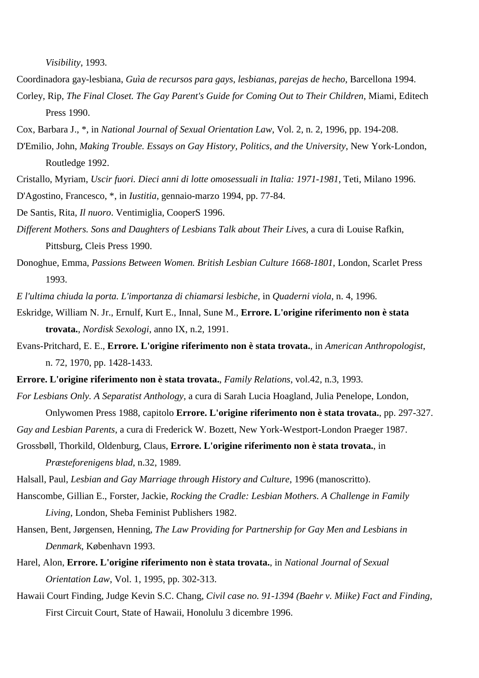*Visibility*, 1993.

- Coordinadora gay-lesbiana, *Guìa de recursos para gays, lesbianas, parejas de hecho*, Barcellona 1994.
- Corley, Rip, *The Final Closet. The Gay Parent's Guide for Coming Out to Their Children*, Miami, Editech Press 1990.
- Cox, Barbara J., \*, in *National Journal of Sexual Orientation Law*, Vol. 2, n. 2, 1996, pp. 194-208.
- D'Emilio, John, *Making Trouble. Essays on Gay History, Politics, and the University*, New York-London, Routledge 1992.
- Cristallo, Myriam, *Uscir fuori. Dieci anni di lotte omosessuali in Italia: 1971-1981*, Teti, Milano 1996.
- D'Agostino, Francesco, \*, in *Iustitia*, gennaio-marzo 1994, pp. 77-84.
- De Santis, Rita, *Il nuoro*. Ventimiglia, CooperS 1996.
- *Different Mothers. Sons and Daughters of Lesbians Talk about Their Lives*, a cura di Louise Rafkin, Pittsburg, Cleis Press 1990.
- Donoghue, Emma, *Passions Between Women. British Lesbian Culture 1668-1801*, London, Scarlet Press 1993.
- *E l'ultima chiuda la porta. L'importanza di chiamarsi lesbiche*, in *Quaderni viola*, n. 4, 1996.
- Eskridge, William N. Jr., Ernulf, Kurt E., Innal, Sune M., **Errore. L'origine riferimento non è stata trovata.**, *Nordisk Sexologi*, anno IX, n.2, 1991.
- Evans-Pritchard, E. E., **Errore. L'origine riferimento non è stata trovata.**, in *American Anthropologist*, n. 72, 1970, pp. 1428-1433.
- **Errore. L'origine riferimento non è stata trovata.**, *Family Relations*, vol.42, n.3, 1993.
- *For Lesbians Only. A Separatist Anthology*, a cura di Sarah Lucia Hoagland, Julia Penelope, London, Onlywomen Press 1988, capitolo **Errore. L'origine riferimento non è stata trovata.**, pp. 297-327.
- *Gay and Lesbian Parents*, a cura di Frederick W. Bozett, New York-Westport-London Praeger 1987.
- Grossbøll, Thorkild, Oldenburg, Claus, **Errore. L'origine riferimento non è stata trovata.**, in *Præsteforenigens blad*, n.32, 1989.
- Halsall, Paul, *Lesbian and Gay Marriage through History and Culture*, 1996 (manoscritto).
- Hanscombe, Gillian E., Forster, Jackie, *Rocking the Cradle: Lesbian Mothers. A Challenge in Family Living*, London, Sheba Feminist Publishers 1982.
- Hansen, Bent, Jørgensen, Henning, *The Law Providing for Partnership for Gay Men and Lesbians in Denmark*, København 1993.
- Harel, Alon, **Errore. L'origine riferimento non è stata trovata.**, in *National Journal of Sexual Orientation Law*, Vol. 1, 1995, pp. 302-313.
- Hawaii Court Finding, Judge Kevin S.C. Chang, *Civil case no. 91-1394 (Baehr v. Miike) Fact and Finding*, First Circuit Court, State of Hawaii, Honolulu 3 dicembre 1996.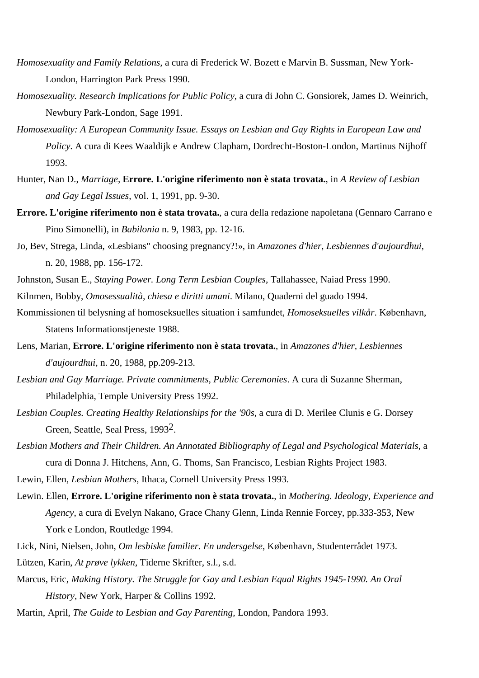- *Homosexuality and Family Relations,* a cura di Frederick W. Bozett e Marvin B. Sussman, New York-London, Harrington Park Press 1990.
- *Homosexuality. Research Implications for Public Policy*, a cura di John C. Gonsiorek, James D. Weinrich, Newbury Park-London, Sage 1991.
- *Homosexuality: A European Community Issue. Essays on Lesbian and Gay Rights in European Law and Policy*. A cura di Kees Waaldijk e Andrew Clapham, Dordrecht-Boston-London, Martinus Nijhoff 1993.
- Hunter, Nan D., *Marriage,* **Errore. L'origine riferimento non è stata trovata.**, in *A Review of Lesbian and Gay Legal Issues*, vol. 1, 1991, pp. 9-30.
- **Errore. L'origine riferimento non è stata trovata.**, a cura della redazione napoletana (Gennaro Carrano e Pino Simonelli), in *Babilonia* n. 9, 1983, pp. 12-16.
- Jo, Bev, Strega, Linda, «Lesbians" choosing pregnancy?!», in *Amazones d'hier, Lesbiennes d'aujourdhui*, n. 20, 1988, pp. 156-172.
- Johnston, Susan E., *Staying Power. Long Term Lesbian Couples*, Tallahassee, Naiad Press 1990.
- Kilnmen, Bobby, *Omosessualità, chiesa e diritti umani*. Milano, Quaderni del guado 1994.
- Kommissionen til belysning af homoseksuelles situation i samfundet, *Homoseksuelles vilkår*. København, Statens Informationstjeneste 1988.
- Lens, Marian, **Errore. L'origine riferimento non è stata trovata.**, in *Amazones d'hier, Lesbiennes d'aujourdhui*, n. 20, 1988, pp.209-213.
- *Lesbian and Gay Marriage. Private commitments, Public Ceremonies*. A cura di Suzanne Sherman, Philadelphia, Temple University Press 1992.
- *Lesbian Couples. Creating Healthy Relationships for the '90s*, a cura di D. Merilee Clunis e G. Dorsey Green, Seattle, Seal Press, 19932.
- *Lesbian Mothers and Their Children. An Annotated Bibliography of Legal and Psychological Materials*, a cura di Donna J. Hitchens, Ann, G. Thoms, San Francisco, Lesbian Rights Project 1983.
- Lewin, Ellen, *Lesbian Mothers*, Ithaca, Cornell University Press 1993.
- Lewin. Ellen, **Errore. L'origine riferimento non è stata trovata.**, in *Mothering. Ideology, Experience and Agency*, a cura di Evelyn Nakano, Grace Chany Glenn, Linda Rennie Forcey, pp.333-353, New York e London, Routledge 1994.
- Lick, Nini, Nielsen, John, *Om lesbiske familier. En undersgelse*, København, Studenterrådet 1973.
- Lützen, Karin, *At prøve lykken*, Tiderne Skrifter, s.l., s.d.
- Marcus, Eric, *Making History. The Struggle for Gay and Lesbian Equal Rights 1945-1990. An Oral History*, New York, Harper & Collins 1992.
- Martin, April, *The Guide to Lesbian and Gay Parenting,* London, Pandora 1993.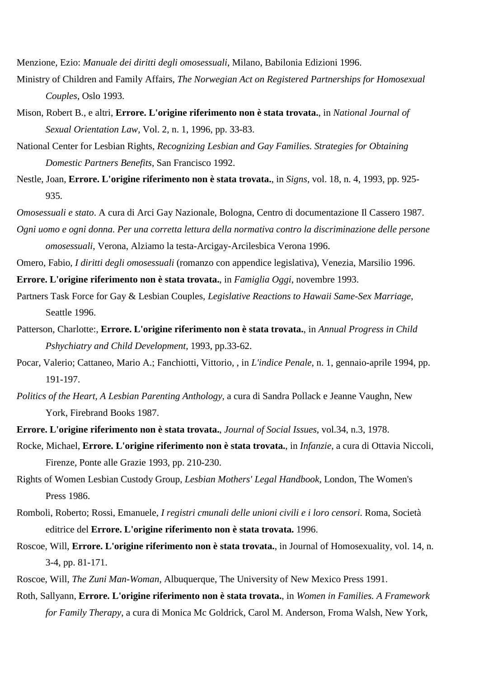Menzione, Ezio: *Manuale dei diritti degli omosessuali*, Milano, Babilonia Edizioni 1996.

- Ministry of Children and Family Affairs, *The Norwegian Act on Registered Partnerships for Homosexual Couples*, Oslo 1993.
- Mison, Robert B., e altri, **Errore. L'origine riferimento non è stata trovata.**, in *National Journal of Sexual Orientation Law*, Vol. 2, n. 1, 1996, pp. 33-83.
- National Center for Lesbian Rights, *Recognizing Lesbian and Gay Families. Strategies for Obtaining Domestic Partners Benefits*, San Francisco 1992.
- Nestle, Joan, **Errore. L'origine riferimento non è stata trovata.**, in *Signs*, vol. 18, n. 4, 1993, pp. 925- 935.
- *Omosessuali e stato*. A cura di Arci Gay Nazionale, Bologna, Centro di documentazione Il Cassero 1987.
- *Ogni uomo e ogni donna. Per una corretta lettura della normativa contro la discriminazione delle persone omosessuali*, Verona, Alziamo la testa-Arcigay-Arcilesbica Verona 1996.
- Omero, Fabio, *I diritti degli omosessuali* (romanzo con appendice legislativa), Venezia, Marsilio 1996.
- **Errore. L'origine riferimento non è stata trovata.**, in *Famiglia Oggi*, novembre 1993.
- Partners Task Force for Gay & Lesbian Couples, *Legislative Reactions to Hawaii Same-Sex Marriage*, Seattle 1996.
- Patterson, Charlotte:, **Errore. L'origine riferimento non è stata trovata.**, in *Annual Progress in Child Pshychiatry and Child Development*, 1993, pp.33-62.
- Pocar, Valerio; Cattaneo, Mario A.; Fanchiotti, Vittorio, , in *L'indice Penale*, n. 1, gennaio-aprile 1994, pp. 191-197.
- *Politics of the Heart, A Lesbian Parenting Anthology*, a cura di Sandra Pollack e Jeanne Vaughn, New York, Firebrand Books 1987.
- **Errore. L'origine riferimento non è stata trovata.**, *Journal of Social Issues*, vol.34, n.3, 1978.
- Rocke, Michael, **Errore. L'origine riferimento non è stata trovata.**, in *Infanzie*, a cura di Ottavia Niccoli, Firenze, Ponte alle Grazie 1993, pp. 210-230.
- Rights of Women Lesbian Custody Group, *Lesbian Mothers' Legal Handbook*, London, The Women's Press 1986.
- Romboli, Roberto; Rossi, Emanuele, *I registri cmunali delle unioni civili e i loro censori*. Roma, Società editrice del **Errore. L'origine riferimento non è stata trovata.** 1996.
- Roscoe, Will, **Errore. L'origine riferimento non è stata trovata.**, in Journal of Homosexuality, vol. 14, n. 3-4, pp. 81-171.
- Roscoe, Will, *The Zuni Man-Woman*, Albuquerque, The University of New Mexico Press 1991.
- Roth, Sallyann, **Errore. L'origine riferimento non è stata trovata.**, in *Women in Families. A Framework for Family Therapy*, a cura di Monica Mc Goldrick, Carol M. Anderson, Froma Walsh, New York,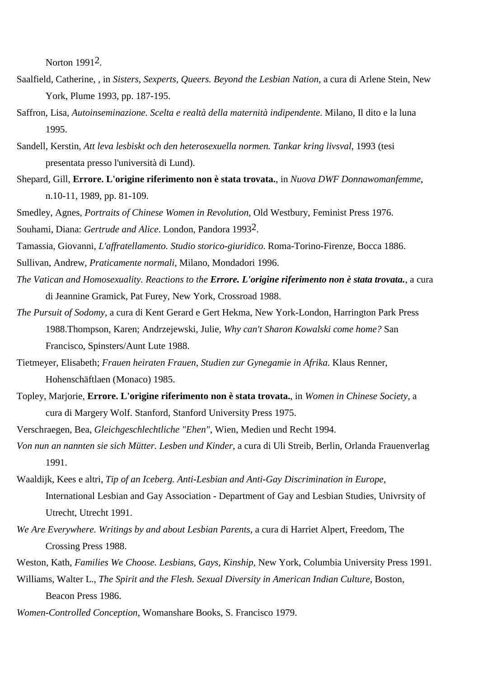Norton 19912.

- Saalfield, Catherine, , in *Sisters, Sexperts, Queers. Beyond the Lesbian Nation*, a cura di Arlene Stein, New York, Plume 1993, pp. 187-195.
- Saffron, Lisa, *Autoinseminazione. Scelta e realtà della maternità indipendente*. Milano, Il dito e la luna 1995.
- Sandell, Kerstin, *Att leva lesbiskt och den heterosexuella normen. Tankar kring livsval*, 1993 (tesi presentata presso l'università di Lund).
- Shepard, Gill, **Errore. L'origine riferimento non è stata trovata.**, in *Nuova DWF Donnawomanfemme*, n.10-11, 1989, pp. 81-109.

Smedley, Agnes, *Portraits of Chinese Women in Revolution,* Old Westbury, Feminist Press 1976. Souhami, Diana: *Gertrude and Alice*. London, Pandora 19932.

Tamassia, Giovanni, *L'affratellamento. Studio storico-giuridico*. Roma-Torino-Firenze, Bocca 1886.

Sullivan, Andrew, *Praticamente normali*, Milano, Mondadori 1996.

- *The Vatican and Homosexuality. Reactions to the Errore. L'origine riferimento non è stata trovata.*, a cura di Jeannine Gramick, Pat Furey, New York, Crossroad 1988.
- *The Pursuit of Sodomy*, a cura di Kent Gerard e Gert Hekma, New York-London, Harrington Park Press 1988.Thompson, Karen; Andrzejewski, Julie, *Why can't Sharon Kowalski come home?* San Francisco, Spinsters/Aunt Lute 1988.
- Tietmeyer, Elisabeth; *Frauen heiraten Frauen, Studien zur Gynegamie in Afrika.* Klaus Renner, Hohenschäftlaen (Monaco) 1985.
- Topley, Marjorie, **Errore. L'origine riferimento non è stata trovata.**, in *Women in Chinese Society*, a cura di Margery Wolf. Stanford, Stanford University Press 1975.

Verschraegen, Bea, *Gleichgeschlechtliche "Ehen"*, Wien, Medien und Recht 1994.

- *Von nun an nannten sie sich Mütter. Lesben und Kinder*, a cura di Uli Streib, Berlin, Orlanda Frauenverlag 1991.
- Waaldijk, Kees e altri, *Tip of an Iceberg. Anti-Lesbian and Anti-Gay Discrimination in Europe*, International Lesbian and Gay Association - Department of Gay and Lesbian Studies, Univrsity of Utrecht, Utrecht 1991.
- *We Are Everywhere. Writings by and about Lesbian Parents*, a cura di Harriet Alpert, Freedom, The Crossing Press 1988.
- Weston, Kath, *Families We Choose. Lesbians, Gays, Kinship*, New York, Columbia University Press 1991.
- Williams, Walter L., *The Spirit and the Flesh. Sexual Diversity in American Indian Culture*, Boston, Beacon Press 1986.
- *Women-Controlled Conception*, Womanshare Books, S. Francisco 1979.